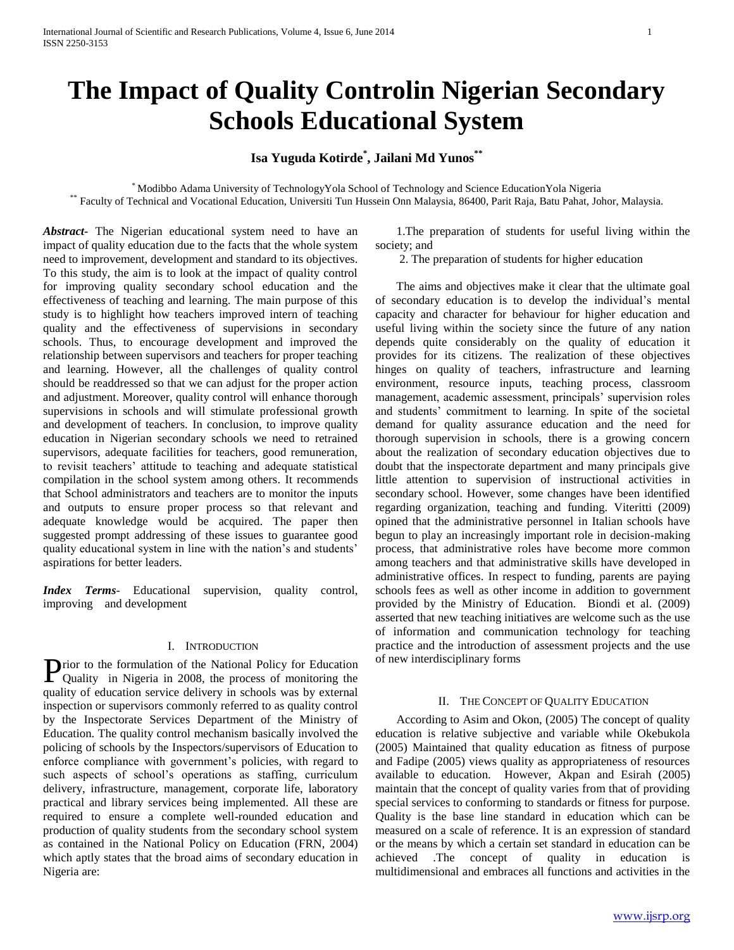# **The Impact of Quality Controlin Nigerian Secondary Schools Educational System**

## **Isa Yuguda Kotirde\* , Jailani Md Yunos\*\***

\* Modibbo Adama University of TechnologyYola School of Technology and Science EducationYola Nigeria \*\* Faculty of Technical and Vocational Education, Universiti Tun Hussein Onn Malaysia, 86400, Parit Raja, Batu Pahat, Johor, Malaysia.

*Abstract***-** The Nigerian educational system need to have an impact of quality education due to the facts that the whole system need to improvement, development and standard to its objectives. To this study, the aim is to look at the impact of quality control for improving quality secondary school education and the effectiveness of teaching and learning. The main purpose of this study is to highlight how teachers improved intern of teaching quality and the effectiveness of supervisions in secondary schools. Thus, to encourage development and improved the relationship between supervisors and teachers for proper teaching and learning. However, all the challenges of quality control should be readdressed so that we can adjust for the proper action and adjustment. Moreover, quality control will enhance thorough supervisions in schools and will stimulate professional growth and development of teachers. In conclusion, to improve quality education in Nigerian secondary schools we need to retrained supervisors, adequate facilities for teachers, good remuneration, to revisit teachers' attitude to teaching and adequate statistical compilation in the school system among others. It recommends that School administrators and teachers are to monitor the inputs and outputs to ensure proper process so that relevant and adequate knowledge would be acquired. The paper then suggested prompt addressing of these issues to guarantee good quality educational system in line with the nation's and students' aspirations for better leaders.

*Index Terms*- Educational supervision, quality control, improving and development

## I. INTRODUCTION

rior to the formulation of the National Policy for Education **P**rior to the formulation of the National Policy for Education Quality in Nigeria in 2008, the process of monitoring the quality of education service delivery in schools was by external inspection or supervisors commonly referred to as quality control by the Inspectorate Services Department of the Ministry of Education. The quality control mechanism basically involved the policing of schools by the Inspectors/supervisors of Education to enforce compliance with government's policies, with regard to such aspects of school's operations as staffing, curriculum delivery, infrastructure, management, corporate life, laboratory practical and library services being implemented. All these are required to ensure a complete well-rounded education and production of quality students from the secondary school system as contained in the National Policy on Education (FRN, 2004) which aptly states that the broad aims of secondary education in Nigeria are:

 1.The preparation of students for useful living within the society; and

2. The preparation of students for higher education

 The aims and objectives make it clear that the ultimate goal of secondary education is to develop the individual's mental capacity and character for behaviour for higher education and useful living within the society since the future of any nation depends quite considerably on the quality of education it provides for its citizens. The realization of these objectives hinges on quality of teachers, infrastructure and learning environment, resource inputs, teaching process, classroom management, academic assessment, principals' supervision roles and students' commitment to learning. In spite of the societal demand for quality assurance education and the need for thorough supervision in schools, there is a growing concern about the realization of secondary education objectives due to doubt that the inspectorate department and many principals give little attention to supervision of instructional activities in secondary school. However, some changes have been identified regarding organization, teaching and funding. Viteritti (2009) opined that the administrative personnel in Italian schools have begun to play an increasingly important role in decision-making process, that administrative roles have become more common among teachers and that administrative skills have developed in administrative offices. In respect to funding, parents are paying schools fees as well as other income in addition to government provided by the Ministry of Education. Biondi et al. (2009) asserted that new teaching initiatives are welcome such as the use of information and communication technology for teaching practice and the introduction of assessment projects and the use of new interdisciplinary forms

#### II. THE CONCEPT OF QUALITY EDUCATION

 According to Asim and Okon, (2005) The concept of quality education is relative subjective and variable while Okebukola (2005) Maintained that quality education as fitness of purpose and Fadipe (2005) views quality as appropriateness of resources available to education. However, Akpan and Esirah (2005) maintain that the concept of quality varies from that of providing special services to conforming to standards or fitness for purpose. Quality is the base line standard in education which can be measured on a scale of reference. It is an expression of standard or the means by which a certain set standard in education can be achieved .The concept of quality in education is multidimensional and embraces all functions and activities in the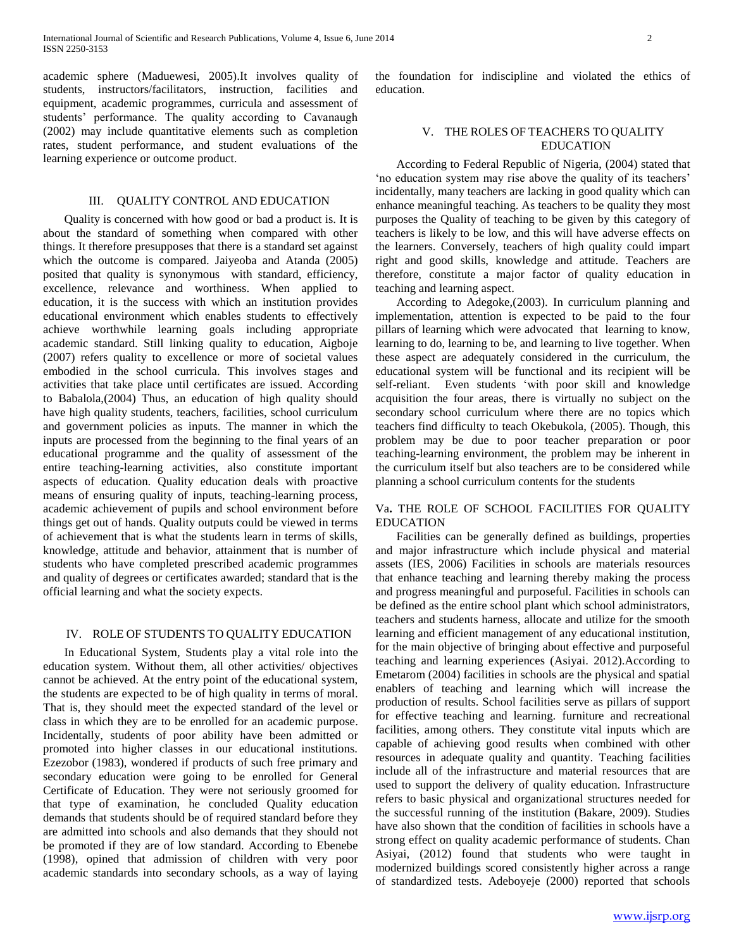academic sphere (Maduewesi, 2005).It involves quality of students, instructors/facilitators, instruction, facilities and equipment, academic programmes, curricula and assessment of students' performance. The quality according to Cavanaugh (2002) may include quantitative elements such as completion rates, student performance, and student evaluations of the learning experience or outcome product.

#### III. QUALITY CONTROL AND EDUCATION

 Quality is concerned with how good or bad a product is. It is about the standard of something when compared with other things. It therefore presupposes that there is a standard set against which the outcome is compared. Jaiyeoba and Atanda (2005) posited that quality is synonymous with standard, efficiency, excellence, relevance and worthiness. When applied to education, it is the success with which an institution provides educational environment which enables students to effectively achieve worthwhile learning goals including appropriate academic standard. Still linking quality to education, Aigboje (2007) refers quality to excellence or more of societal values embodied in the school curricula. This involves stages and activities that take place until certificates are issued. According to Babalola,(2004) Thus, an education of high quality should have high quality students, teachers, facilities, school curriculum and government policies as inputs. The manner in which the inputs are processed from the beginning to the final years of an educational programme and the quality of assessment of the entire teaching-learning activities, also constitute important aspects of education. Quality education deals with proactive means of ensuring quality of inputs, teaching-learning process, academic achievement of pupils and school environment before things get out of hands. Quality outputs could be viewed in terms of achievement that is what the students learn in terms of skills, knowledge, attitude and behavior, attainment that is number of students who have completed prescribed academic programmes and quality of degrees or certificates awarded; standard that is the official learning and what the society expects.

#### IV. ROLE OF STUDENTS TO QUALITY EDUCATION

 In Educational System, Students play a vital role into the education system. Without them, all other activities/ objectives cannot be achieved. At the entry point of the educational system, the students are expected to be of high quality in terms of moral. That is, they should meet the expected standard of the level or class in which they are to be enrolled for an academic purpose. Incidentally, students of poor ability have been admitted or promoted into higher classes in our educational institutions. Ezezobor (1983), wondered if products of such free primary and secondary education were going to be enrolled for General Certificate of Education. They were not seriously groomed for that type of examination, he concluded Quality education demands that students should be of required standard before they are admitted into schools and also demands that they should not be promoted if they are of low standard. According to Ebenebe (1998), opined that admission of children with very poor academic standards into secondary schools, as a way of laying

the foundation for indiscipline and violated the ethics of education.

### V. THE ROLES OF TEACHERS TO QUALITY EDUCATION

 According to Federal Republic of Nigeria, (2004) stated that 'no education system may rise above the quality of its teachers' incidentally, many teachers are lacking in good quality which can enhance meaningful teaching. As teachers to be quality they most purposes the Quality of teaching to be given by this category of teachers is likely to be low, and this will have adverse effects on the learners. Conversely, teachers of high quality could impart right and good skills, knowledge and attitude. Teachers are therefore, constitute a major factor of quality education in teaching and learning aspect.

 According to Adegoke,(2003). In curriculum planning and implementation, attention is expected to be paid to the four pillars of learning which were advocated that learning to know, learning to do, learning to be, and learning to live together. When these aspect are adequately considered in the curriculum, the educational system will be functional and its recipient will be self-reliant. Even students 'with poor skill and knowledge acquisition the four areas, there is virtually no subject on the secondary school curriculum where there are no topics which teachers find difficulty to teach Okebukola, (2005). Though, this problem may be due to poor teacher preparation or poor teaching-learning environment, the problem may be inherent in the curriculum itself but also teachers are to be considered while planning a school curriculum contents for the students

#### Va**.** THE ROLE OF SCHOOL FACILITIES FOR QUALITY EDUCATION

 Facilities can be generally defined as buildings, properties and major infrastructure which include physical and material assets (IES, 2006) Facilities in schools are materials resources that enhance teaching and learning thereby making the process and progress meaningful and purposeful. Facilities in schools can be defined as the entire school plant which school administrators, teachers and students harness, allocate and utilize for the smooth learning and efficient management of any educational institution, for the main objective of bringing about effective and purposeful teaching and learning experiences (Asiyai. 2012).According to Emetarom (2004) facilities in schools are the physical and spatial enablers of teaching and learning which will increase the production of results. School facilities serve as pillars of support for effective teaching and learning. furniture and recreational facilities, among others. They constitute vital inputs which are capable of achieving good results when combined with other resources in adequate quality and quantity. Teaching facilities include all of the infrastructure and material resources that are used to support the delivery of quality education. Infrastructure refers to basic physical and organizational structures needed for the successful running of the institution (Bakare, 2009). Studies have also shown that the condition of facilities in schools have a strong effect on quality academic performance of students. Chan Asiyai, (2012) found that students who were taught in modernized buildings scored consistently higher across a range of standardized tests. Adeboyeje (2000) reported that schools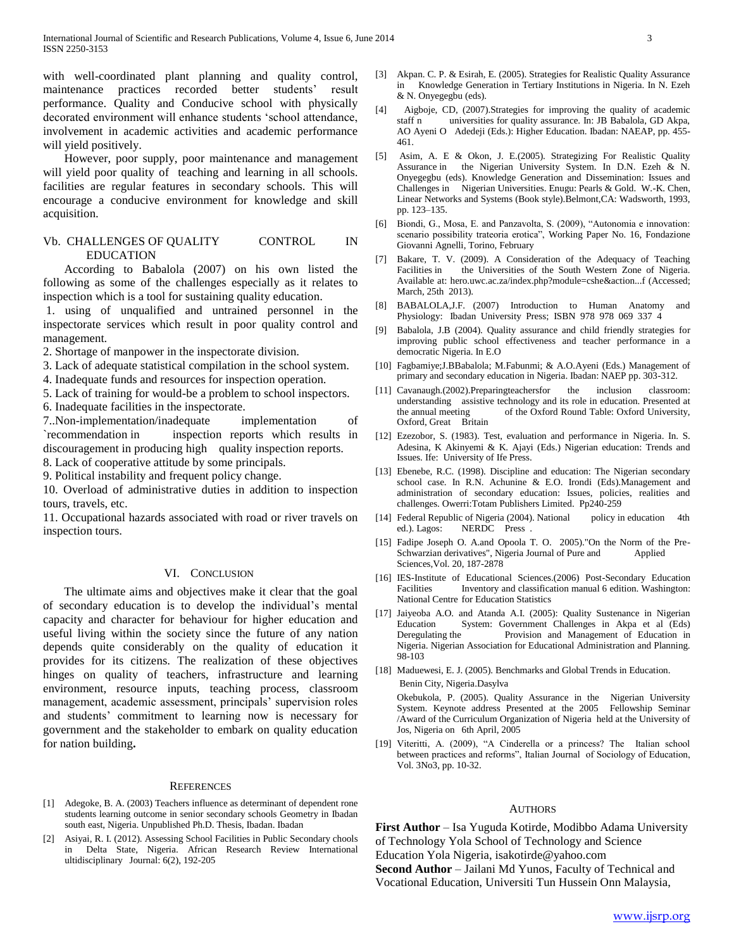with well-coordinated plant planning and quality control, maintenance practices recorded better students' result performance. Quality and Conducive school with physically decorated environment will enhance students 'school attendance, involvement in academic activities and academic performance will yield positively.

 However, poor supply, poor maintenance and management will yield poor quality of teaching and learning in all schools. facilities are regular features in secondary schools. This will encourage a conducive environment for knowledge and skill acquisition.

#### Vb. CHALLENGES OF QUALITY CONTROL IN EDUCATION

 According to Babalola (2007) on his own listed the following as some of the challenges especially as it relates to inspection which is a tool for sustaining quality education.

1. using of unqualified and untrained personnel in the inspectorate services which result in poor quality control and management.

- 2. Shortage of manpower in the inspectorate division.
- 3. Lack of adequate statistical compilation in the school system.
- 4. Inadequate funds and resources for inspection operation.
- 5. Lack of training for would-be a problem to school inspectors.
- 6. Inadequate facilities in the inspectorate.

7..Non-implementation/inadequate implementation of `recommendation in inspection reports which results in discouragement in producing high quality inspection reports.

8. Lack of cooperative attitude by some principals.

9. Political instability and frequent policy change.

10. Overload of administrative duties in addition to inspection tours, travels, etc.

11. Occupational hazards associated with road or river travels on inspection tours.

#### VI. CONCLUSION

 The ultimate aims and objectives make it clear that the goal of secondary education is to develop the individual's mental capacity and character for behaviour for higher education and useful living within the society since the future of any nation depends quite considerably on the quality of education it provides for its citizens. The realization of these objectives hinges on quality of teachers, infrastructure and learning environment, resource inputs, teaching process, classroom management, academic assessment, principals' supervision roles and students' commitment to learning now is necessary for government and the stakeholder to embark on quality education for nation building**.**

#### REFERENCES

- [1] Adegoke, B. A. (2003) Teachers influence as determinant of dependent rone students learning outcome in senior secondary schools Geometry in Ibadan south east, Nigeria. Unpublished Ph.D. Thesis, Ibadan. Ibadan
- [2] Asiyai, R. I. (2012). Assessing School Facilities in Public Secondary chools in Delta State, Nigeria. African Research Review International ultidisciplinary Journal: 6(2), 192-205
- [3] Akpan. C. P. & Esirah, E. (2005). Strategies for Realistic Quality Assurance in Knowledge Generation in Tertiary Institutions in Nigeria. In N. Ezeh & N. Onyegegbu (eds).
- [4] Aigboje, CD, (2007).Strategies for improving the quality of academic staff n universities for quality assurance. In: JB Babalola, GD Akpa, AO Ayeni O Adedeji (Eds.): Higher Education. Ibadan: NAEAP, pp. 455- 461.
- [5] Asim, A. E & Okon, J. E.(2005). Strategizing For Realistic Quality Assurance in the Nigerian University System. In D.N. Ezeh & N. Onyegegbu (eds). Knowledge Generation and Dissemination: Issues and Challenges in Nigerian Universities. Enugu: Pearls & Gold. W.-K. Chen, Linear Networks and Systems (Book style).Belmont,CA: Wadsworth, 1993, pp. 123–135.
- [6] Biondi, G., Mosa, E. and Panzavolta, S. (2009), "Autonomia e innovation: scenario possibility trateoria erotica", Working Paper No. 16, Fondazione Giovanni Agnelli, Torino, February
- [7] Bakare, T. V. (2009). A Consideration of the Adequacy of Teaching Facilities in the Universities of the South Western Zone of Nigeria. Available at: hero.uwc.ac.za/index.php?module=cshe&action...f (Accessed; March, 25th 2013).
- [8] BABALOLA,J.F. (2007) Introduction to Human Anatomy and Physiology: Ibadan University Press; ISBN 978 978 069 337 4
- [9] Babalola, J.B (2004). Quality assurance and child friendly strategies for improving public school effectiveness and teacher performance in a democratic Nigeria. In E.O
- [10] Fagbamiye;J.BBabalola; M.Fabunmi; & A.O.Ayeni (Eds.) Management of primary and secondary education in Nigeria. Ibadan: NAEP pp. 303-312.
- [11] Cavanaugh.(2002).Preparingteachersfor the inclusion classroom: understanding assistive technology and its role in education. Presented at the annual meeting of the Oxford Round Table: Oxford University, Oxford, Great Britain
- [12] Ezezobor, S. (1983). Test, evaluation and performance in Nigeria. In. S. Adesina, K Akinyemi & K. Ajayi (Eds.) Nigerian education: Trends and Issues. Ife: University of Ife Press.
- [13] Ebenebe, R.C. (1998). Discipline and education: The Nigerian secondary school case. In R.N. Achunine & E.O. Irondi (Eds).Management and administration of secondary education: Issues, policies, realities and challenges. Owerri:Totam Publishers Limited. Pp240-259
- [14] Federal Republic of Nigeria (2004). National policy in education 4th ed.). Lagos: NERDC Press .
- [15] Fadipe Joseph O. A.and Opoola T. O. 2005)."On the Norm of the Pre-Schwarzian derivatives", Nigeria Journal of Pure and Applied Sciences,Vol. 20, 187-2878
- [16] IES-Institute of Educational Sciences.(2006) Post-Secondary Education Facilities Inventory and classification manual 6 edition. Washington: National Centre for Education Statistics
- [17] Jaiyeoba A.O. and Atanda A.I. (2005): Quality Sustenance in Nigerian Education System: Government Challenges in Akpa et al (Eds) Deregulating the Provision and Management of Education in Nigeria. Nigerian Association for Educational Administration and Planning. 98-103
- [18] Maduewesi, E. J. (2005). Benchmarks and Global Trends in Education. Benin City, Nigeria.Dasylva Okebukola, P. (2005). Quality Assurance in the Nigerian University System. Keynote address Presented at the 2005 Fellowship Seminar /Award of the Curriculum Organization of Nigeria held at the University of Jos, Nigeria on 6th April, 2005
- [19] Viteritti, A. (2009), "A Cinderella or a princess? The Italian school between practices and reforms", Italian Journal of Sociology of Education, Vol. 3No3, pp. 10-32.

#### **AUTHORS**

**First Author** – Isa Yuguda Kotirde, Modibbo Adama University of Technology Yola School of Technology and Science Education Yola Nigeria, isakotirde@yahoo.com **Second Author** – Jailani Md Yunos, Faculty of Technical and Vocational Education, Universiti Tun Hussein Onn Malaysia,